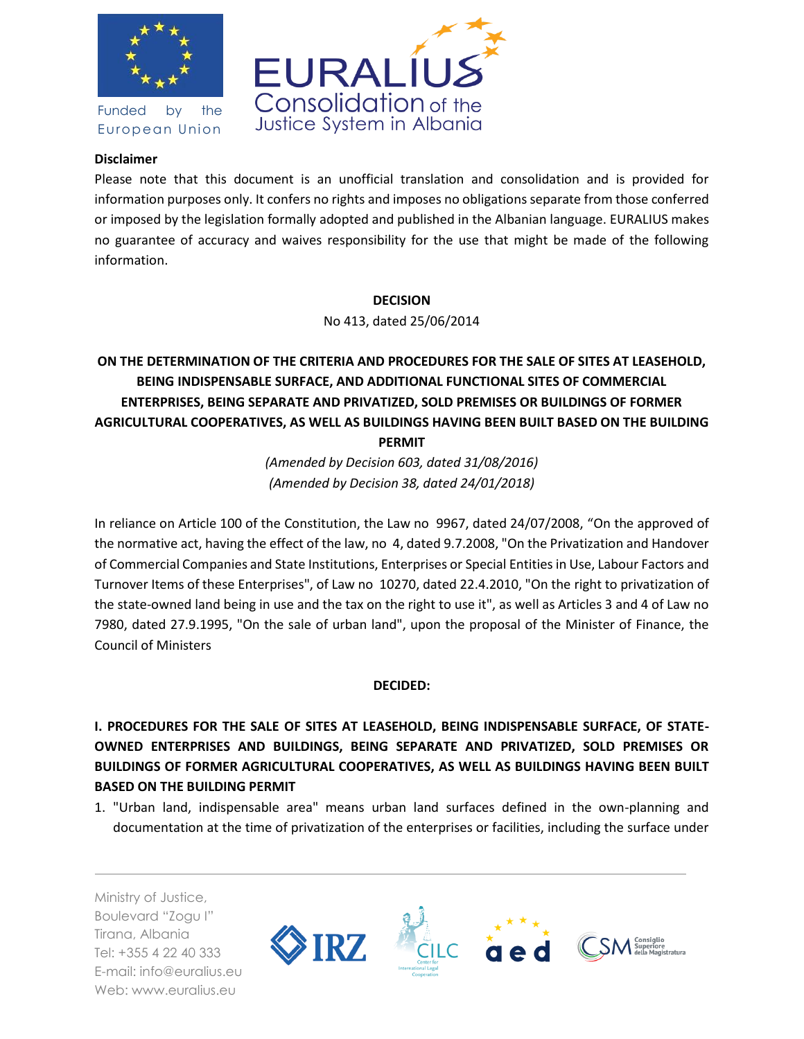

Funded by the European Union



### **Disclaimer**

Please note that this document is an unofficial translation and consolidation and is provided for information purposes only. It confers no rights and imposes no obligations separate from those conferred or imposed by the legislation formally adopted and published in the Albanian language. EURALIUS makes no guarantee of accuracy and waives responsibility for the use that might be made of the following information.

#### **DECISION**

No 413, dated 25/06/2014

# **ON THE DETERMINATION OF THE CRITERIA AND PROCEDURES FOR THE SALE OF SITES AT LEASEHOLD, BEING INDISPENSABLE SURFACE, AND ADDITIONAL FUNCTIONAL SITES OF COMMERCIAL ENTERPRISES, BEING SEPARATE AND PRIVATIZED, SOLD PREMISES OR BUILDINGS OF FORMER AGRICULTURAL COOPERATIVES, AS WELL AS BUILDINGS HAVING BEEN BUILT BASED ON THE BUILDING PERMIT**

*(Amended by Decision 603, dated 31/08/2016) (Amended by Decision 38, dated 24/01/2018)*

In reliance on Article 100 of the Constitution, the Law no 9967, dated 24/07/2008, "On the approved of the normative act, having the effect of the law, no 4, dated 9.7.2008, "On the Privatization and Handover of Commercial Companies and State Institutions, Enterprises or Special Entities in Use, Labour Factors and Turnover Items of these Enterprises", of Law no 10270, dated 22.4.2010, "On the right to privatization of the state-owned land being in use and the tax on the right to use it", as well as Articles 3 and 4 of Law no 7980, dated 27.9.1995, "On the sale of urban land", upon the proposal of the Minister of Finance, the Council of Ministers

#### **DECIDED:**

**I. PROCEDURES FOR THE SALE OF SITES AT LEASEHOLD, BEING INDISPENSABLE SURFACE, OF STATE-OWNED ENTERPRISES AND BUILDINGS, BEING SEPARATE AND PRIVATIZED, SOLD PREMISES OR BUILDINGS OF FORMER AGRICULTURAL COOPERATIVES, AS WELL AS BUILDINGS HAVING BEEN BUILT BASED ON THE BUILDING PERMIT**

1. "Urban land, indispensable area" means urban land surfaces defined in the own-planning and documentation at the time of privatization of the enterprises or facilities, including the surface under

Ministry of Justice, Boulevard "Zogu I" Tirana, Albania Tel: +355 4 22 40 333 E-mail: info@euralius.eu Web: www.euralius.eu

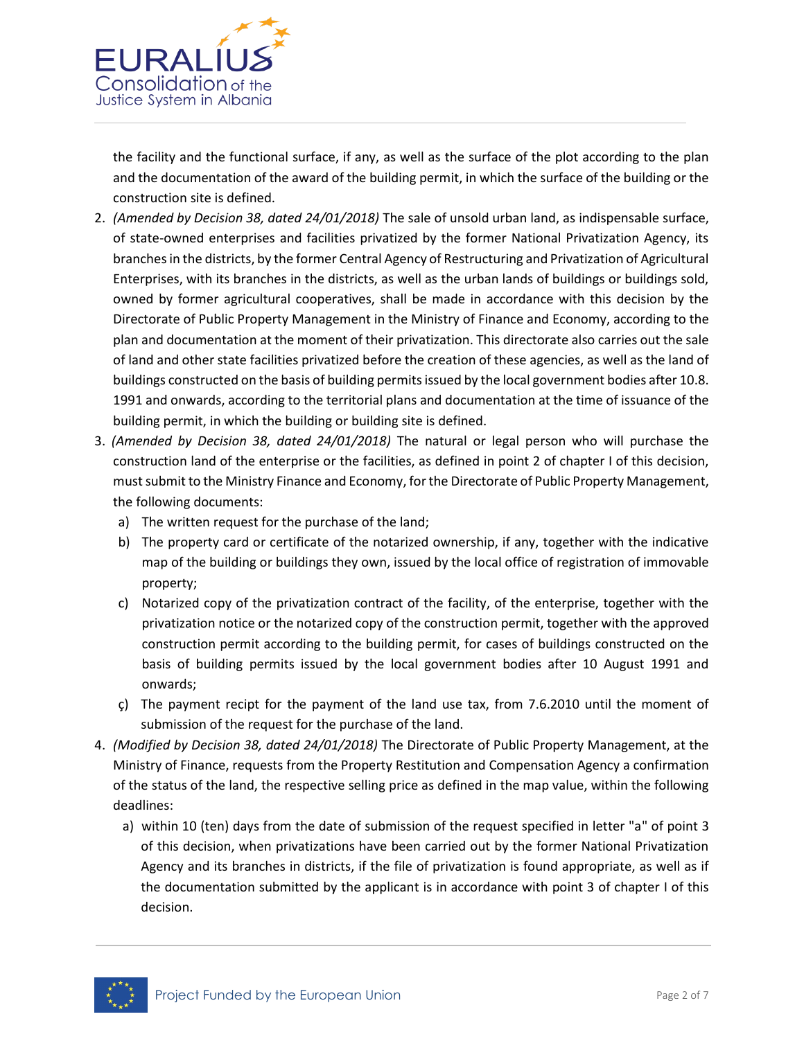

the facility and the functional surface, if any, as well as the surface of the plot according to the plan and the documentation of the award of the building permit, in which the surface of the building or the construction site is defined.

- 2. *(Amended by Decision 38, dated 24/01/2018)* The sale of unsold urban land, as indispensable surface, of state-owned enterprises and facilities privatized by the former National Privatization Agency, its branches in the districts, by the former Central Agency of Restructuring and Privatization of Agricultural Enterprises, with its branches in the districts, as well as the urban lands of buildings or buildings sold, owned by former agricultural cooperatives, shall be made in accordance with this decision by the Directorate of Public Property Management in the Ministry of Finance and Economy, according to the plan and documentation at the moment of their privatization. This directorate also carries out the sale of land and other state facilities privatized before the creation of these agencies, as well as the land of buildings constructed on the basis of building permits issued by the local government bodies after 10.8. 1991 and onwards, according to the territorial plans and documentation at the time of issuance of the building permit, in which the building or building site is defined.
- 3. *(Amended by Decision 38, dated 24/01/2018)* The natural or legal person who will purchase the construction land of the enterprise or the facilities, as defined in point 2 of chapter I of this decision, must submit to the Ministry Finance and Economy, for the Directorate of Public Property Management, the following documents:
	- a) The written request for the purchase of the land;
	- b) The property card or certificate of the notarized ownership, if any, together with the indicative map of the building or buildings they own, issued by the local office of registration of immovable property;
	- c) Notarized copy of the privatization contract of the facility, of the enterprise, together with the privatization notice or the notarized copy of the construction permit, together with the approved construction permit according to the building permit, for cases of buildings constructed on the basis of building permits issued by the local government bodies after 10 August 1991 and onwards;
	- ç) The payment recipt for the payment of the land use tax, from 7.6.2010 until the moment of submission of the request for the purchase of the land.
- 4. *(Modified by Decision 38, dated 24/01/2018)* The Directorate of Public Property Management, at the Ministry of Finance, requests from the Property Restitution and Compensation Agency a confirmation of the status of the land, the respective selling price as defined in the map value, within the following deadlines:
	- a) within 10 (ten) days from the date of submission of the request specified in letter "a" of point 3 of this decision, when privatizations have been carried out by the former National Privatization Agency and its branches in districts, if the file of privatization is found appropriate, as well as if the documentation submitted by the applicant is in accordance with point 3 of chapter I of this decision.

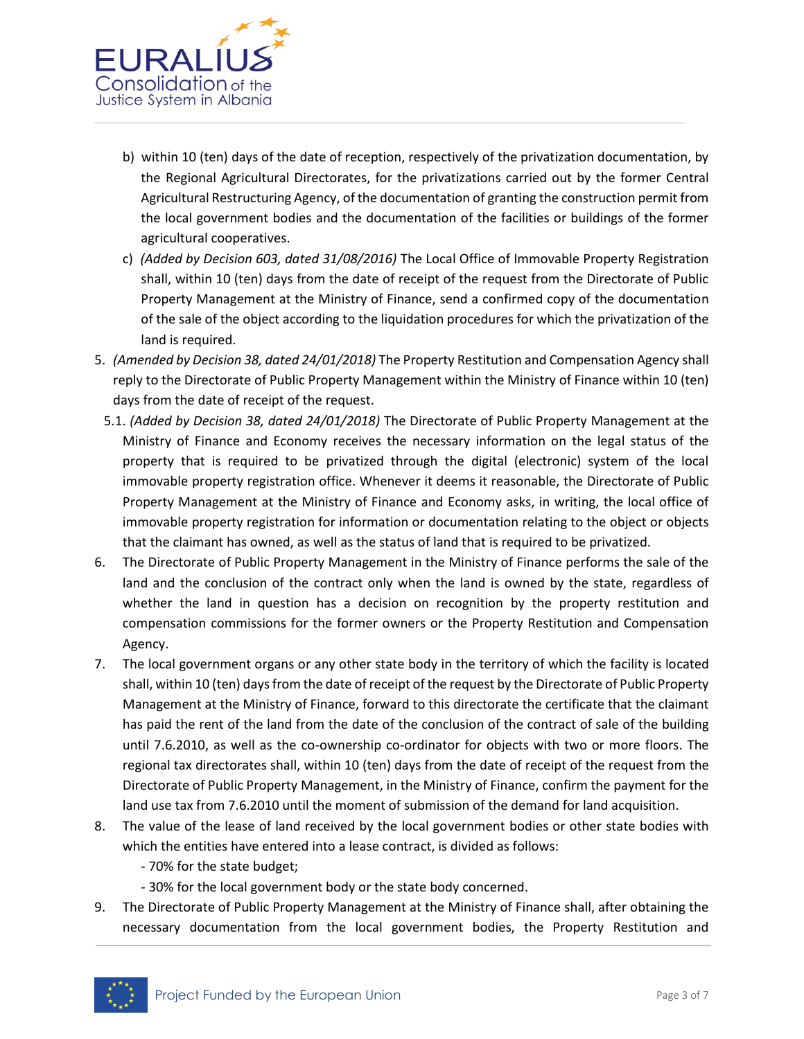

- b) within 10 (ten) days of the date of reception, respectively of the privatization documentation, by the Regional Agricultural Directorates, for the privatizations carried out by the former Central Agricultural Restructuring Agency, of the documentation of granting the construction permit from the local government bodies and the documentation of the facilities or buildings of the former agricultural cooperatives.
- c) *(Added by Decision 603, dated 31/08/2016)* The Local Office of Immovable Property Registration shall, within 10 (ten) days from the date of receipt of the request from the Directorate of Public Property Management at the Ministry of Finance, send a confirmed copy of the documentation of the sale of the object according to the liquidation procedures for which the privatization of the land is required.
- 5. *(Amended by Decision 38, dated 24/01/2018)* The Property Restitution and Compensation Agency shall reply to the Directorate of Public Property Management within the Ministry of Finance within 10 (ten) days from the date of receipt of the request.
- 5.1. *(Added by Decision 38, dated 24/01/2018)* The Directorate of Public Property Management at the Ministry of Finance and Economy receives the necessary information on the legal status of the property that is required to be privatized through the digital (electronic) system of the local immovable property registration office. Whenever it deems it reasonable, the Directorate of Public Property Management at the Ministry of Finance and Economy asks, in writing, the local office of immovable property registration for information or documentation relating to the object or objects that the claimant has owned, as well as the status of land that is required to be privatized.
- 6. The Directorate of Public Property Management in the Ministry of Finance performs the sale of the land and the conclusion of the contract only when the land is owned by the state, regardless of whether the land in question has a decision on recognition by the property restitution and compensation commissions for the former owners or the Property Restitution and Compensation Agency.
- 7. The local government organs or any other state body in the territory of which the facility is located shall, within 10 (ten) days from the date of receipt of the request by the Directorate of Public Property Management at the Ministry of Finance, forward to this directorate the certificate that the claimant has paid the rent of the land from the date of the conclusion of the contract of sale of the building until 7.6.2010, as well as the co-ownership co-ordinator for objects with two or more floors. The regional tax directorates shall, within 10 (ten) days from the date of receipt of the request from the Directorate of Public Property Management, in the Ministry of Finance, confirm the payment for the land use tax from 7.6.2010 until the moment of submission of the demand for land acquisition.
- 8. The value of the lease of land received by the local government bodies or other state bodies with which the entities have entered into a lease contract, is divided as follows:
	- 70% for the state budget;
	- 30% for the local government body or the state body concerned.
- 9. The Directorate of Public Property Management at the Ministry of Finance shall, after obtaining the necessary documentation from the local government bodies, the Property Restitution and

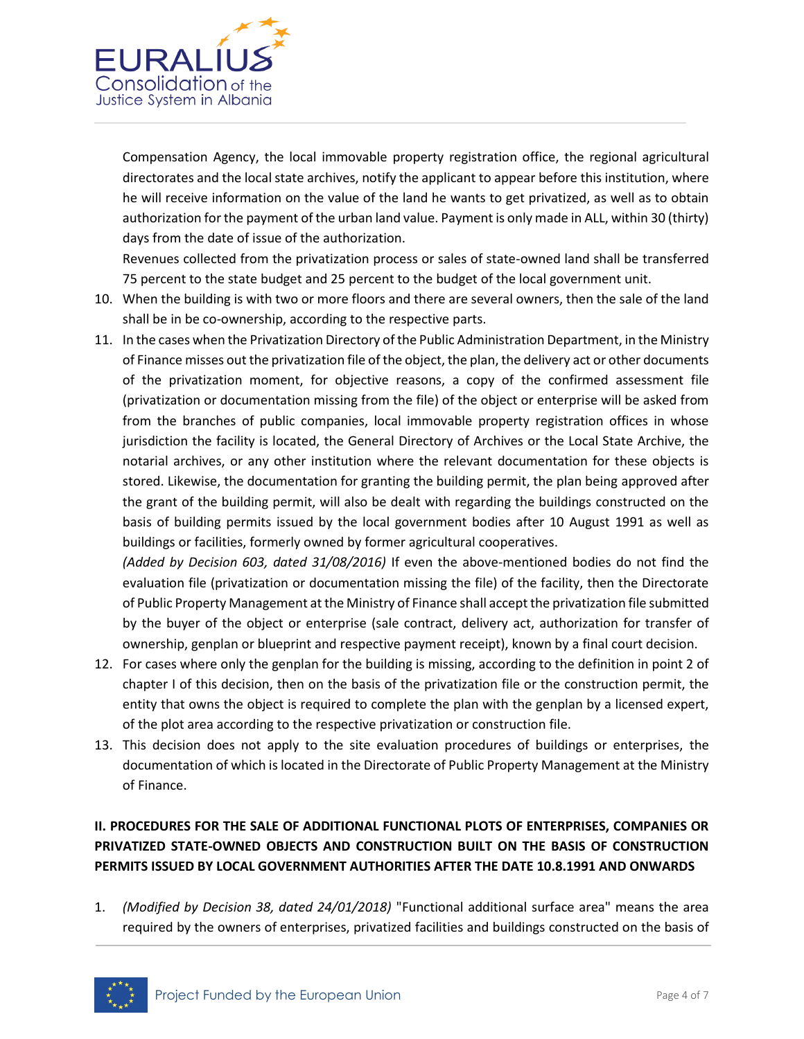

Compensation Agency, the local immovable property registration office, the regional agricultural directorates and the local state archives, notify the applicant to appear before this institution, where he will receive information on the value of the land he wants to get privatized, as well as to obtain authorization for the payment of the urban land value. Payment is only made in ALL, within 30 (thirty) days from the date of issue of the authorization.

Revenues collected from the privatization process or sales of state-owned land shall be transferred 75 percent to the state budget and 25 percent to the budget of the local government unit.

- 10. When the building is with two or more floors and there are several owners, then the sale of the land shall be in be co-ownership, according to the respective parts.
- 11. In the cases when the Privatization Directory of the Public Administration Department, in the Ministry of Finance misses out the privatization file of the object, the plan, the delivery act or other documents of the privatization moment, for objective reasons, a copy of the confirmed assessment file (privatization or documentation missing from the file) of the object or enterprise will be asked from from the branches of public companies, local immovable property registration offices in whose jurisdiction the facility is located, the General Directory of Archives or the Local State Archive, the notarial archives, or any other institution where the relevant documentation for these objects is stored. Likewise, the documentation for granting the building permit, the plan being approved after the grant of the building permit, will also be dealt with regarding the buildings constructed on the basis of building permits issued by the local government bodies after 10 August 1991 as well as buildings or facilities, formerly owned by former agricultural cooperatives.

*(Added by Decision 603, dated 31/08/2016)* If even the above-mentioned bodies do not find the evaluation file (privatization or documentation missing the file) of the facility, then the Directorate of Public Property Management at the Ministry of Finance shall accept the privatization file submitted by the buyer of the object or enterprise (sale contract, delivery act, authorization for transfer of ownership, genplan or blueprint and respective payment receipt), known by a final court decision.

- 12. For cases where only the genplan for the building is missing, according to the definition in point 2 of chapter I of this decision, then on the basis of the privatization file or the construction permit, the entity that owns the object is required to complete the plan with the genplan by a licensed expert, of the plot area according to the respective privatization or construction file.
- 13. This decision does not apply to the site evaluation procedures of buildings or enterprises, the documentation of which is located in the Directorate of Public Property Management at the Ministry of Finance.

# **II. PROCEDURES FOR THE SALE OF ADDITIONAL FUNCTIONAL PLOTS OF ENTERPRISES, COMPANIES OR PRIVATIZED STATE-OWNED OBJECTS AND CONSTRUCTION BUILT ON THE BASIS OF CONSTRUCTION PERMITS ISSUED BY LOCAL GOVERNMENT AUTHORITIES AFTER THE DATE 10.8.1991 AND ONWARDS**

1. *(Modified by Decision 38, dated 24/01/2018)* "Functional additional surface area" means the area required by the owners of enterprises, privatized facilities and buildings constructed on the basis of

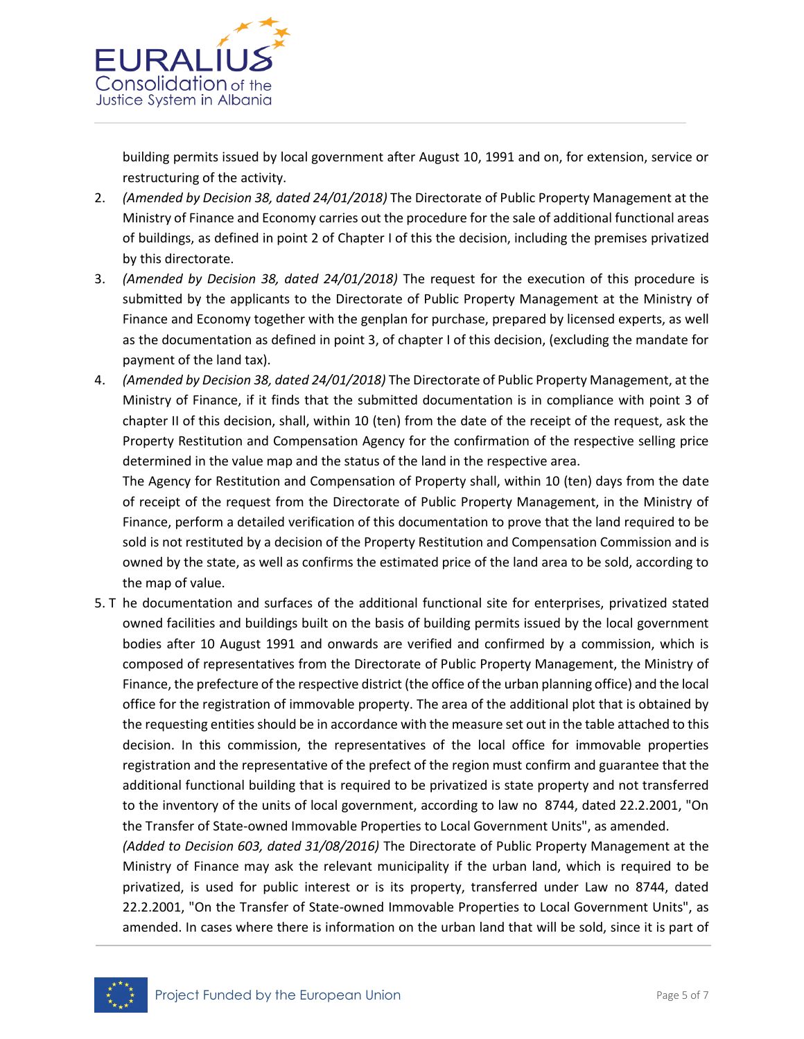

building permits issued by local government after August 10, 1991 and on, for extension, service or restructuring of the activity.

- 2. *(Amended by Decision 38, dated 24/01/2018)* The Directorate of Public Property Management at the Ministry of Finance and Economy carries out the procedure for the sale of additional functional areas of buildings, as defined in point 2 of Chapter I of this the decision, including the premises privatized by this directorate.
- 3. *(Amended by Decision 38, dated 24/01/2018)* The request for the execution of this procedure is submitted by the applicants to the Directorate of Public Property Management at the Ministry of Finance and Economy together with the genplan for purchase, prepared by licensed experts, as well as the documentation as defined in point 3, of chapter I of this decision, (excluding the mandate for payment of the land tax).
- 4. *(Amended by Decision 38, dated 24/01/2018)* The Directorate of Public Property Management, at the Ministry of Finance, if it finds that the submitted documentation is in compliance with point 3 of chapter II of this decision, shall, within 10 (ten) from the date of the receipt of the request, ask the Property Restitution and Compensation Agency for the confirmation of the respective selling price determined in the value map and the status of the land in the respective area.

The Agency for Restitution and Compensation of Property shall, within 10 (ten) days from the date of receipt of the request from the Directorate of Public Property Management, in the Ministry of Finance, perform a detailed verification of this documentation to prove that the land required to be sold is not restituted by a decision of the Property Restitution and Compensation Commission and is owned by the state, as well as confirms the estimated price of the land area to be sold, according to the map of value.

5. T he documentation and surfaces of the additional functional site for enterprises, privatized stated owned facilities and buildings built on the basis of building permits issued by the local government bodies after 10 August 1991 and onwards are verified and confirmed by a commission, which is composed of representatives from the Directorate of Public Property Management, the Ministry of Finance, the prefecture of the respective district (the office of the urban planning office) and the local office for the registration of immovable property. The area of the additional plot that is obtained by the requesting entities should be in accordance with the measure set out in the table attached to this decision. In this commission, the representatives of the local office for immovable properties registration and the representative of the prefect of the region must confirm and guarantee that the additional functional building that is required to be privatized is state property and not transferred to the inventory of the units of local government, according to law no 8744, dated 22.2.2001, "On the Transfer of State-owned Immovable Properties to Local Government Units", as amended.

*(Added to Decision 603, dated 31/08/2016)* The Directorate of Public Property Management at the Ministry of Finance may ask the relevant municipality if the urban land, which is required to be privatized, is used for public interest or is its property, transferred under Law no 8744, dated 22.2.2001, "On the Transfer of State-owned Immovable Properties to Local Government Units", as amended. In cases where there is information on the urban land that will be sold, since it is part of

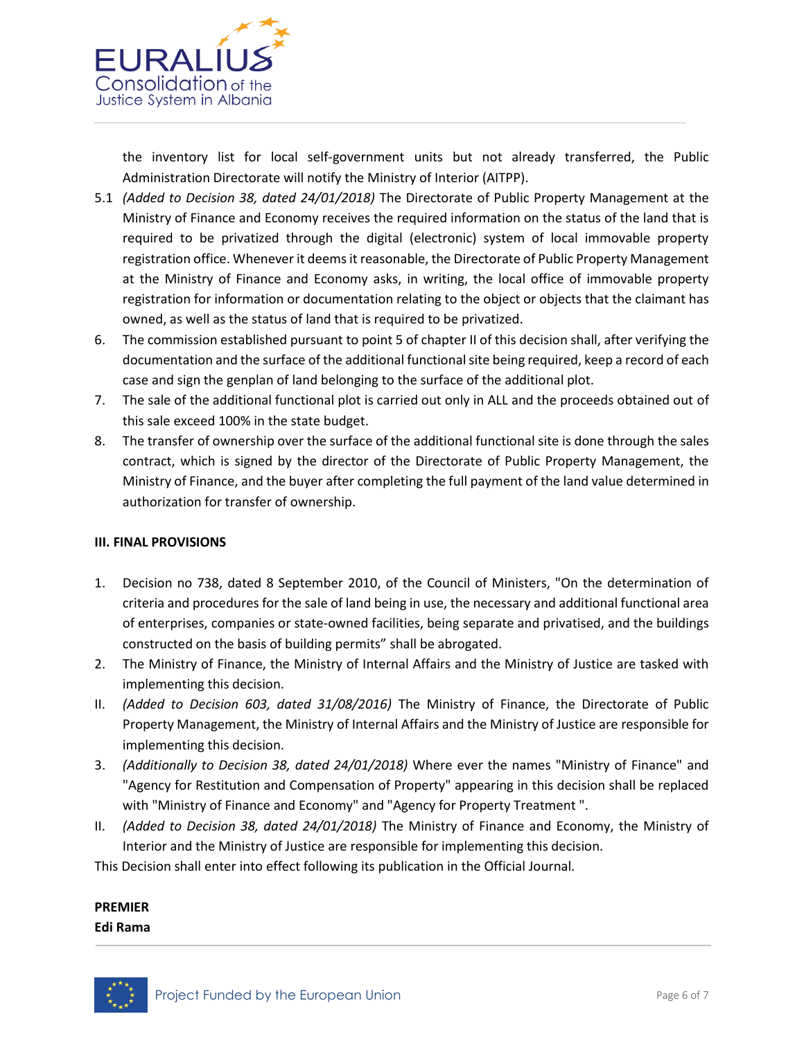

the inventory list for local self-government units but not already transferred, the Public Administration Directorate will notify the Ministry of Interior (AITPP).

- 5.1 *(Added to Decision 38, dated 24/01/2018)* The Directorate of Public Property Management at the Ministry of Finance and Economy receives the required information on the status of the land that is required to be privatized through the digital (electronic) system of local immovable property registration office. Whenever it deems it reasonable, the Directorate of Public Property Management at the Ministry of Finance and Economy asks, in writing, the local office of immovable property registration for information or documentation relating to the object or objects that the claimant has owned, as well as the status of land that is required to be privatized.
- 6. The commission established pursuant to point 5 of chapter II of this decision shall, after verifying the documentation and the surface of the additional functional site being required, keep a record of each case and sign the genplan of land belonging to the surface of the additional plot.
- 7. The sale of the additional functional plot is carried out only in ALL and the proceeds obtained out of this sale exceed 100% in the state budget.
- 8. The transfer of ownership over the surface of the additional functional site is done through the sales contract, which is signed by the director of the Directorate of Public Property Management, the Ministry of Finance, and the buyer after completing the full payment of the land value determined in authorization for transfer of ownership.

### **III. FINAL PROVISIONS**

- 1. Decision no 738, dated 8 September 2010, of the Council of Ministers, "On the determination of criteria and procedures for the sale of land being in use, the necessary and additional functional area of enterprises, companies or state-owned facilities, being separate and privatised, and the buildings constructed on the basis of building permits" shall be abrogated.
- 2. The Ministry of Finance, the Ministry of Internal Affairs and the Ministry of Justice are tasked with implementing this decision.
- II. *(Added to Decision 603, dated 31/08/2016)* The Ministry of Finance, the Directorate of Public Property Management, the Ministry of Internal Affairs and the Ministry of Justice are responsible for implementing this decision.
- 3. *(Additionally to Decision 38, dated 24/01/2018)* Where ever the names "Ministry of Finance" and "Agency for Restitution and Compensation of Property" appearing in this decision shall be replaced with "Ministry of Finance and Economy" and "Agency for Property Treatment ".
- II. *(Added to Decision 38, dated 24/01/2018)* The Ministry of Finance and Economy, the Ministry of Interior and the Ministry of Justice are responsible for implementing this decision.

This Decision shall enter into effect following its publication in the Official Journal.

# **PREMIER**

**Edi Rama**